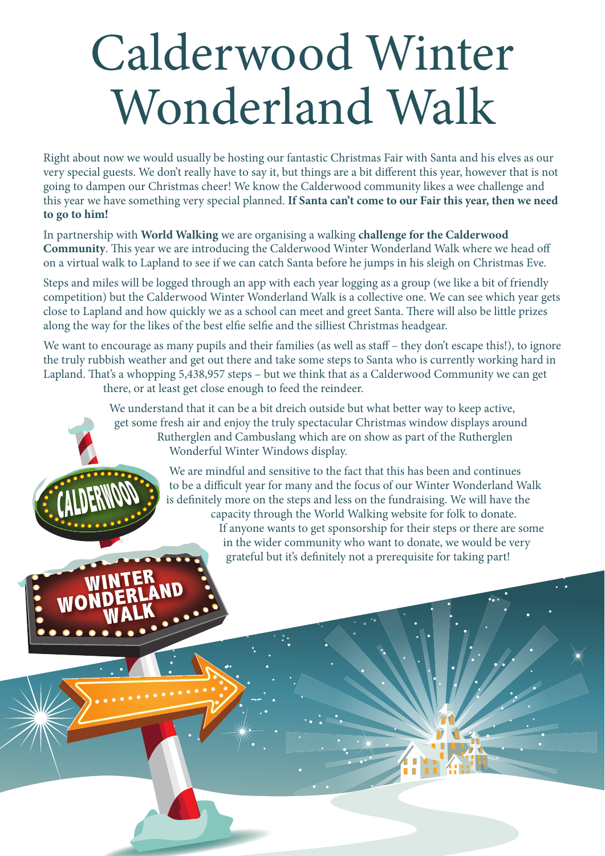## Calderwood Winter Wonderland Walk

Right about now we would usually be hosting our fantastic Christmas Fair with Santa and his elves as our very special guests. We don't really have to say it, but things are a bit different this year, however that is not going to dampen our Christmas cheer! We know the Calderwood community likes a wee challenge and this year we have something very special planned. **If Santa can't come to our Fair this year, then we need to go to him!**

In partnership with **World Walking** we are organising a walking **challenge for the Calderwood Community**. This year we are introducing the Calderwood Winter Wonderland Walk where we head off on a virtual walk to Lapland to see if we can catch Santa before he jumps in his sleigh on Christmas Eve.

Steps and miles will be logged through an app with each year logging as a group (we like a bit of friendly competition) but the Calderwood Winter Wonderland Walk is a collective one. We can see which year gets close to Lapland and how quickly we as a school can meet and greet Santa. There will also be little prizes along the way for the likes of the best elfie selfie and the silliest Christmas headgear.

We want to encourage as many pupils and their families (as well as staff – they don't escape this!), to ignore the truly rubbish weather and get out there and take some steps to Santa who is currently working hard in Lapland. That's a whopping 5,438,957 steps – but we think that as a Calderwood Community we can get there, or at least get close enough to feed the reindeer.

> We understand that it can be a bit dreich outside but what better way to keep active, get some fresh air and enjoy the truly spectacular Christmas window displays around Rutherglen and Cambuslang which are on show as part of the Rutherglen Wonderful Winter Windows display.

> > We are mindful and sensitive to the fact that this has been and continues to be a difficult year for many and the focus of our Winter Wonderland Walk is definitely more on the steps and less on the fundraising. We will have the capacity through the World Walking website for folk to donate.

If anyone wants to get sponsorship for their steps or there are some in the wider community who want to donate, we would be very grateful but it's definitely not a prerequisite for taking part!